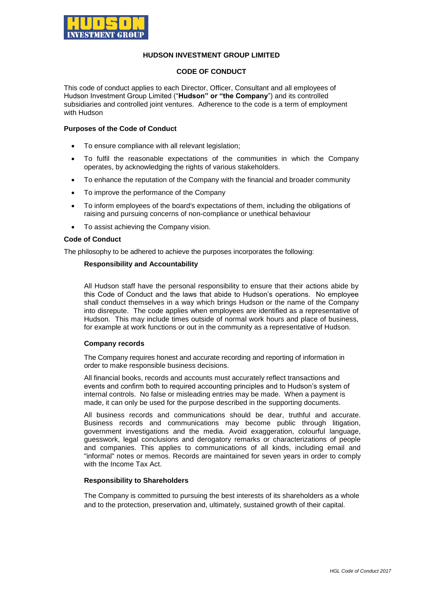

# **HUDSON INVESTMENT GROUP LIMITED**

# **CODE OF CONDUCT**

This code of conduct applies to each Director, Officer, Consultant and all employees of Hudson Investment Group Limited ("**Hudson" or "the Company**") and its controlled subsidiaries and controlled joint ventures. Adherence to the code is a term of employment with Hudson

### **Purposes of the Code of Conduct**

- To ensure compliance with all relevant legislation;
- To fulfil the reasonable expectations of the communities in which the Company operates, by acknowledging the rights of various stakeholders.
- To enhance the reputation of the Company with the financial and broader community
- To improve the performance of the Company
- To inform employees of the board's expectations of them, including the obligations of raising and pursuing concerns of non-compliance or unethical behaviour
- To assist achieving the Company vision.

# **Code of Conduct**

The philosophy to be adhered to achieve the purposes incorporates the following:

# **Responsibility and Accountability**

All Hudson staff have the personal responsibility to ensure that their actions abide by this Code of Conduct and the laws that abide to Hudson's operations. No employee shall conduct themselves in a way which brings Hudson or the name of the Company into disrepute. The code applies when employees are identified as a representative of Hudson. This may include times outside of normal work hours and place of business, for example at work functions or out in the community as a representative of Hudson.

#### **Company records**

The Company requires honest and accurate recording and reporting of information in order to make responsible business decisions.

All financial books, records and accounts must accurately reflect transactions and events and confirm both to required accounting principles and to Hudson's system of internal controls. No false or misleading entries may be made. When a payment is made, it can only be used for the purpose described in the supporting documents.

All business records and communications should be dear, truthful and accurate. Business records and communications may become public through litigation, government investigations and the media. Avoid exaggeration, colourful language, guesswork, legal conclusions and derogatory remarks or characterizations of people and companies. This applies to communications of all kinds, including email and "informal" notes or memos. Records are maintained for seven years in order to comply with the Income Tax Act.

#### **Responsibility to Shareholders**

The Company is committed to pursuing the best interests of its shareholders as a whole and to the protection, preservation and, ultimately, sustained growth of their capital.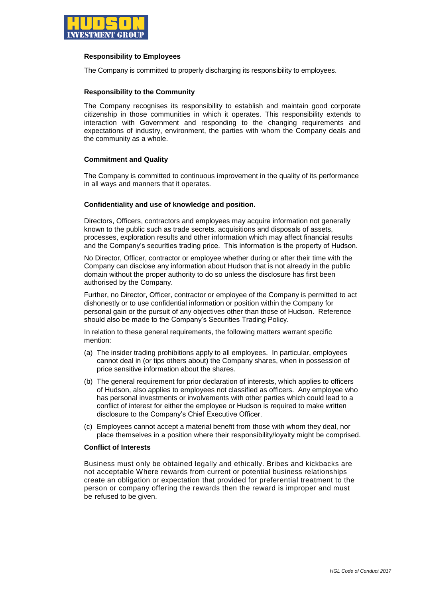

### **Responsibility to Employees**

The Company is committed to properly discharging its responsibility to employees.

# **Responsibility to the Community**

The Company recognises its responsibility to establish and maintain good corporate citizenship in those communities in which it operates. This responsibility extends to interaction with Government and responding to the changing requirements and expectations of industry, environment, the parties with whom the Company deals and the community as a whole.

# **Commitment and Quality**

The Company is committed to continuous improvement in the quality of its performance in all ways and manners that it operates.

#### **Confidentiality and use of knowledge and position.**

Directors, Officers, contractors and employees may acquire information not generally known to the public such as trade secrets, acquisitions and disposals of assets, processes, exploration results and other information which may affect financial results and the Company's securities trading price. This information is the property of Hudson.

No Director, Officer, contractor or employee whether during or after their time with the Company can disclose any information about Hudson that is not already in the public domain without the proper authority to do so unless the disclosure has first been authorised by the Company.

Further, no Director, Officer, contractor or employee of the Company is permitted to act dishonestly or to use confidential information or position within the Company for personal gain or the pursuit of any objectives other than those of Hudson. Reference should also be made to the Company's Securities Trading Policy.

In relation to these general requirements, the following matters warrant specific mention:

- (a) The insider trading prohibitions apply to all employees. In particular, employees cannot deal in (or tips others about) the Company shares, when in possession of price sensitive information about the shares.
- (b) The general requirement for prior declaration of interests, which applies to officers of Hudson, also applies to employees not classified as officers. Any employee who has personal investments or involvements with other parties which could lead to a conflict of interest for either the employee or Hudson is required to make written disclosure to the Company's Chief Executive Officer.
- (c) Employees cannot accept a material benefit from those with whom they deal, nor place themselves in a position where their responsibility/loyalty might be comprised.

### **Conflict of Interests**

Business must only be obtained legally and ethically. Bribes and kickbacks are not acceptable Where rewards from current or potential business relationships create an obligation or expectation that provided for preferential treatment to the person or company offering the rewards then the reward is improper and must be refused to be given.